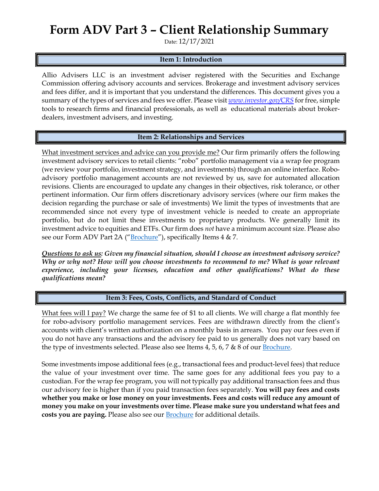# **Form ADV Part 3 – Client Relationship Summary**

Date: 12/17/2021

#### **Item 1: Introduction**

Allio Advisers LLC is an investment adviser registered with the Securities and Exchange Commission offering advisory accounts and services. Brokerage and investment advisory services and fees differ, and it is important that you understand the differences. This document gives you a summary of the types of services and fees we offer. Please visit *[www.investor.gov/CRS](http://www.investor.gov/CRS)* for free, simple tools to research firms and financial professionals, as well as educational materials about brokerdealers, investment advisers, and investing.

#### **Item 2: Relationships and Services**

What investment services and advice can you provide me? Our firm primarily offers the following investment advisory services to retail clients: "robo" portfolio management via a wrap fee program (we review your portfolio, investment strategy, and investments) through an online interface. Roboadvisory portfolio management accounts are not reviewed by us, save for automated allocation revisions. Clients are encouraged to update any changes in their objectives, risk tolerance, or other pertinent information. Our firm offers discretionary advisory services (where our firm makes the decision regarding the purchase or sale of investments) We limit the types of investments that are recommended since not every type of investment vehicle is needed to create an appropriate portfolio, but do not limit these investments to proprietary products. We generally limit its investment advice to equities and ETFs. Our firm does *not* have a minimum account size. Please also see our Form ADV Part 2A ("[Brochure](https://adviserinfo.sec.gov/firm/summary/317938)"), specifically Items 4 & 7.

*Questions to ask us: Given my financial situation, should I choose an investment advisory service? Why or why not? How will you choose investments to recommend to me? What is your relevant experience, including your licenses, education and other qualifications? What do these qualifications mean?*

### **Item 3: Fees, Costs, Conflicts, and Standard of Conduct**

What fees will I pay? We charge the same fee of \$1 to all clients. We will charge a flat monthly fee for robo-advisory portfolio management services. Fees are withdrawn directly from the client's accounts with client's written authorization on a monthly basis in arrears. You pay our fees even if you do not have any transactions and the advisory fee paid to us generally does not vary based on the type of investments selected. Please also see Items 4, 5, 6, 7 & 8 of our [Brochure.](https://adviserinfo.sec.gov/firm/summary/317938)

Some investments impose additional fees (e.g., transactional fees and product-level fees) that reduce the value of your investment over time. The same goes for any additional fees you pay to a custodian. For the wrap fee program, you will not typically pay additional transaction fees and thus our advisory fee is higher than if you paid transaction fees separately. **You will pay fees and costs whether you make or lose money on your investments. Fees and costs will reduce any amount of money you make on your investments over time. Please make sure you understand what fees and**  costs you are paying. Please also see our **[Brochure](https://adviserinfo.sec.gov/firm/summary/317938)** for additional details.